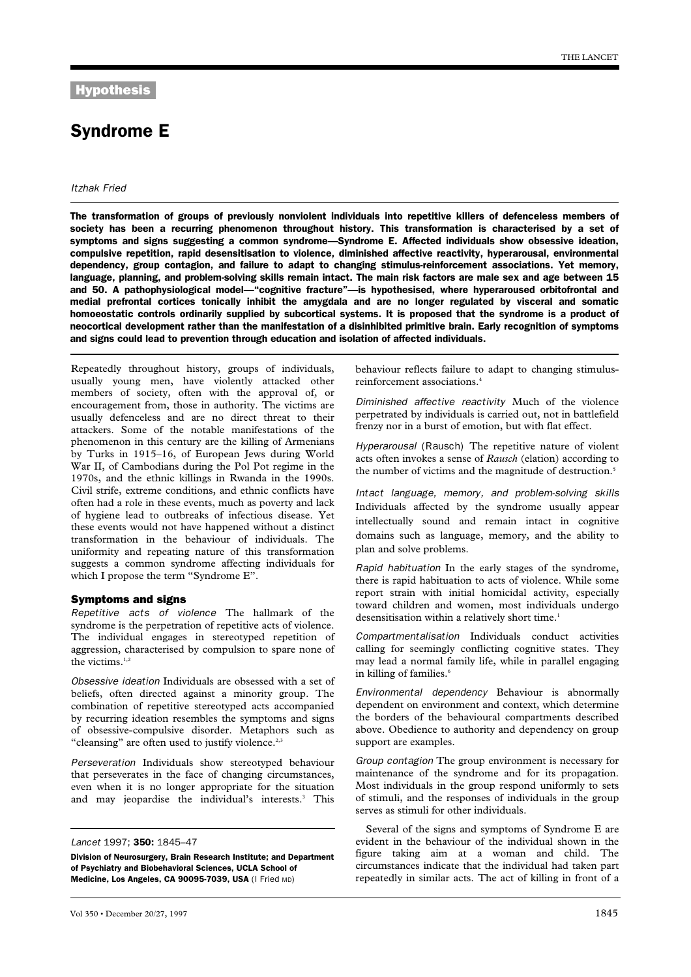# Syndrome E

# Itzhak Fried

The transformation of groups of previously nonviolent individuals into repetitive killers of defenceless members of society has been a recurring phenomenon throughout history. This transformation is characterised by a set of symptoms and signs suggesting a common syndrome—Syndrome E. Affected individuals show obsessive ideation, compulsive repetition, rapid desensitisation to violence, diminished affective reactivity, hyperarousal, environmental dependency, group contagion, and failure to adapt to changing stimulus-reinforcement associations. Yet memory, language, planning, and problem-solving skills remain intact. The main risk factors are male sex and age between 15 and 50. A pathophysiological model—"cognitive fracture"—is hypothesised, where hyperaroused orbitofrontal and medial prefrontal cortices tonically inhibit the amygdala and are no longer regulated by visceral and somatic homoeostatic controls ordinarily supplied by subcortical systems. It is proposed that the syndrome is a product of neocortical development rather than the manifestation of a disinhibited primitive brain. Early recognition of symptoms and signs could lead to prevention through education and isolation of affected individuals.

Repeatedly throughout history, groups of individuals, usually young men, have violently attacked other members of society, often with the approval of, or encouragement from, those in authority. The victims are usually defenceless and are no direct threat to their attackers. Some of the notable manifestations of the phenomenon in this century are the killing of Armenians by Turks in 1915–16, of European Jews during World War II, of Cambodians during the Pol Pot regime in the 1970s, and the ethnic killings in Rwanda in the 1990s. Civil strife, extreme conditions, and ethnic conflicts have often had a role in these events, much as poverty and lack of hygiene lead to outbreaks of infectious disease. Yet these events would not have happened without a distinct transformation in the behaviour of individuals. The uniformity and repeating nature of this transformation suggests a common syndrome affecting individuals for which I propose the term "Syndrome E".

#### Symptoms and signs

Repetitive acts of violence The hallmark of the syndrome is the perpetration of repetitive acts of violence. The individual engages in stereotyped repetition of aggression, characterised by compulsion to spare none of the victims.<sup>1,2</sup>

Obsessive ideation Individuals are obsessed with a set of beliefs, often directed against a minority group. The combination of repetitive stereotyped acts accompanied by recurring ideation resembles the symptoms and signs of obsessive-compulsive disorder. Metaphors such as "cleansing" are often used to justify violence.<sup>2,31</sup>

Perseveration Individuals show stereotyped behaviour that perseverates in the face of changing circumstances, even when it is no longer appropriate for the situation and may jeopardise the individual's interests.3 This

Lancet 1997; 350: 1845-47

Division of Neurosurgery, Brain Research Institute; and Department of Psychiatry and Biobehavioral Sciences, UCLA School of Medicine, Los Angeles, CA 90095-7039, USA (I Fried MD)

behaviour reflects failure to adapt to changing stimulusreinforcement associations.4

Diminished affective reactivity Much of the violence perpetrated by individuals is carried out, not in battlefield frenzy nor in a burst of emotion, but with flat effect.

Hyperarousal (Rausch) The repetitive nature of violent acts often invokes a sense of *Rausch* (elation) according to the number of victims and the magnitude of destruction.<sup>5</sup>

Intact language, memory, and problem-solving skills Individuals affected by the syndrome usually appear intellectually sound and remain intact in cognitive domains such as language, memory, and the ability to plan and solve problems.

Rapid habituation In the early stages of the syndrome, there is rapid habituation to acts of violence. While some report strain with initial homicidal activity, especially toward children and women, most individuals undergo desensitisation within a relatively short time.<sup>1</sup>

Compartmentalisation Individuals conduct activities calling for seemingly conflicting cognitive states. They may lead a normal family life, while in parallel engaging in killing of families.<sup>6</sup>

Environmental dependency Behaviour is abnormally dependent on environment and context, which determine the borders of the behavioural compartments described above. Obedience to authority and dependency on group support are examples.

Group contagion The group environment is necessary for maintenance of the syndrome and for its propagation. Most individuals in the group respond uniformly to sets of stimuli, and the responses of individuals in the group serves as stimuli for other individuals.

Several of the signs and symptoms of Syndrome E are evident in the behaviour of the individual shown in the figure taking aim at a woman and child. The circumstances indicate that the individual had taken part repeatedly in similar acts. The act of killing in front of a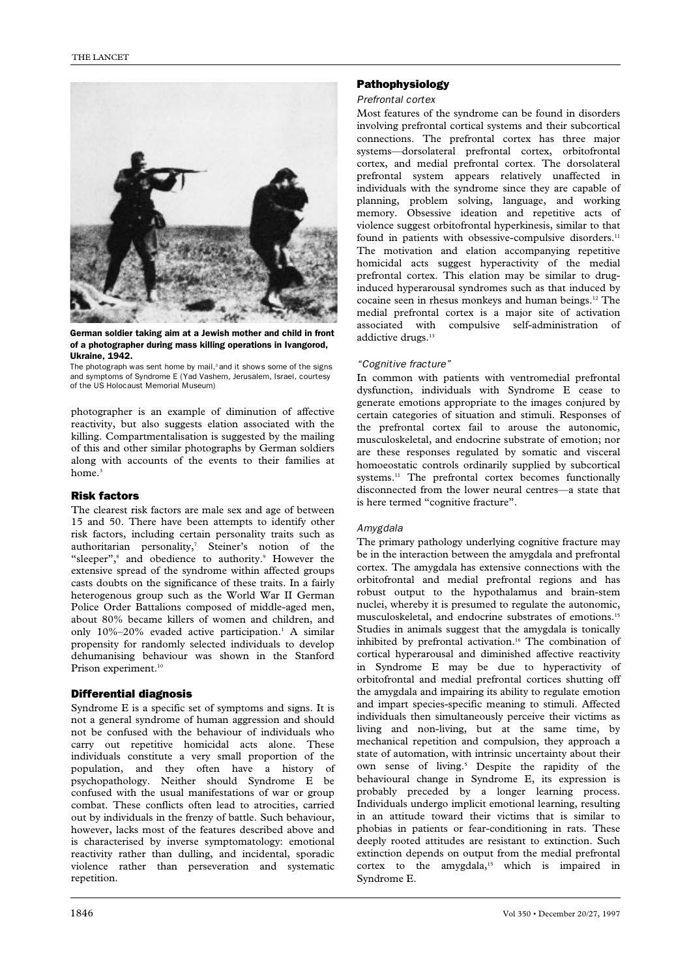

German soldier taking aim at a Jewish mother and child in front of a photographer during mass killing operations in Ivangorod, Ukraine, 1942.

The photograph was sent home by mail,<sup>3</sup> and it shows some of the signs and symptoms of Syndrome E (Yad Vashem, Jerusalem, Israel, courtesy of the US Holocaust Memorial Museum)

photographer is an example of diminution of affective reactivity, but also suggests elation associated with the killing. Compartmentalisation is suggested by the mailing of this and other similar photographs by German soldiers along with accounts of the events to their families at home.<sup>3</sup>

# Risk factors

The clearest risk factors are male sex and age of between 15 and 50. There have been attempts to identify other risk factors, including certain personality traits such as authoritarian personality,<sup>7</sup> Steiner's notion of the "sleeper",<sup>8</sup> and obedience to authority.<sup>9</sup> However the extensive spread of the syndrome within affected groups casts doubts on the significance of these traits. In a fairly heterogenous group such as the World War II German Police Order Battalions composed of middle-aged men, about 80% became killers of women and children, and only  $10\% - 20\%$  evaded active participation.<sup>1</sup> A similar propensity for randomly selected individuals to develop dehumanising behaviour was shown in the Stanford Prison experiment.<sup>10</sup>

# Differential diagnosis

Syndrome E is a specific set of symptoms and signs. It is not a general syndrome of human aggression and should not be confused with the behaviour of individuals who carry out repetitive homicidal acts alone. These individuals constitute a very small proportion of the population, and they often have a history of psychopathology. Neither should Syndrome E be confused with the usual manifestations of war or group combat. These conflicts often lead to atrocities, carried out by individuals in the frenzy of battle. Such behaviour, however, lacks most of the features described above and is characterised by inverse symptomatology: emotional reactivity rather than dulling, and incidental, sporadic violence rather than perseveration and systematic repetition.

# Pathophysiology

## Prefrontal cortex

Most features of the syndrome can be found in disorders involving prefrontal cortical systems and their subcortical connections. The prefrontal cortex has three major systems—dorsolateral prefrontal cortex, orbitofrontal cortex, and medial prefrontal cortex. The dorsolateral prefrontal system appears relatively unaffected in individuals with the syndrome since they are capable of planning, problem solving, language, and working memory. Obsessive ideation and repetitive acts of violence suggest orbitofrontal hyperkinesis, similar to that found in patients with obsessive-compulsive disorders.<sup>11</sup> The motivation and elation accompanying repetitive homicidal acts suggest hyperactivity of the medial prefrontal cortex. This elation may be similar to druginduced hyperarousal syndromes such as that induced by cocaine seen in rhesus monkeys and human beings.12 The medial prefrontal cortex is a major site of activation associated with compulsive self-administration of addictive drugs.<sup>13</sup>

# "Cognitive fracture"

In common with patients with ventromedial prefrontal dysfunction, individuals with Syndrome E cease to generate emotions appropriate to the images conjured by certain categories of situation and stimuli. Responses of the prefrontal cortex fail to arouse the autonomic, musculoskeletal, and endocrine substrate of emotion; nor are these responses regulated by somatic and visceral homoeostatic controls ordinarily supplied by subcortical systems.<sup>11</sup> The prefrontal cortex becomes functionally disconnected from the lower neural centres—a state that is here termed "cognitive fracture".

#### Amygdala

The primary pathology underlying cognitive fracture may be in the interaction between the amygdala and prefrontal cortex. The amygdala has extensive connections with the orbitofrontal and medial prefrontal regions and has robust output to the hypothalamus and brain-stem nuclei, whereby it is presumed to regulate the autonomic, musculoskeletal, and endocrine substrates of emotions.15 Studies in animals suggest that the amygdala is tonically inhibited by prefrontal activation.<sup>16</sup> The combination of cortical hyperarousal and diminished affective reactivity in Syndrome E may be due to hyperactivity of orbitofrontal and medial prefrontal cortices shutting off the amygdala and impairing its ability to regulate emotion and impart species-specific meaning to stimuli. Affected individuals then simultaneously perceive their victims as living and non-living, but at the same time, by mechanical repetition and compulsion, they approach a state of automation, with intrinsic uncertainty about their own sense of living.5 Despite the rapidity of the behavioural change in Syndrome E, its expression is probably preceded by a longer learning process. Individuals undergo implicit emotional learning, resulting in an attitude toward their victims that is similar to phobias in patients or fear-conditioning in rats. These deeply rooted attitudes are resistant to extinction. Such extinction depends on output from the medial prefrontal cortex to the amygdala,<sup>15</sup> which is impaired in Syndrome E.